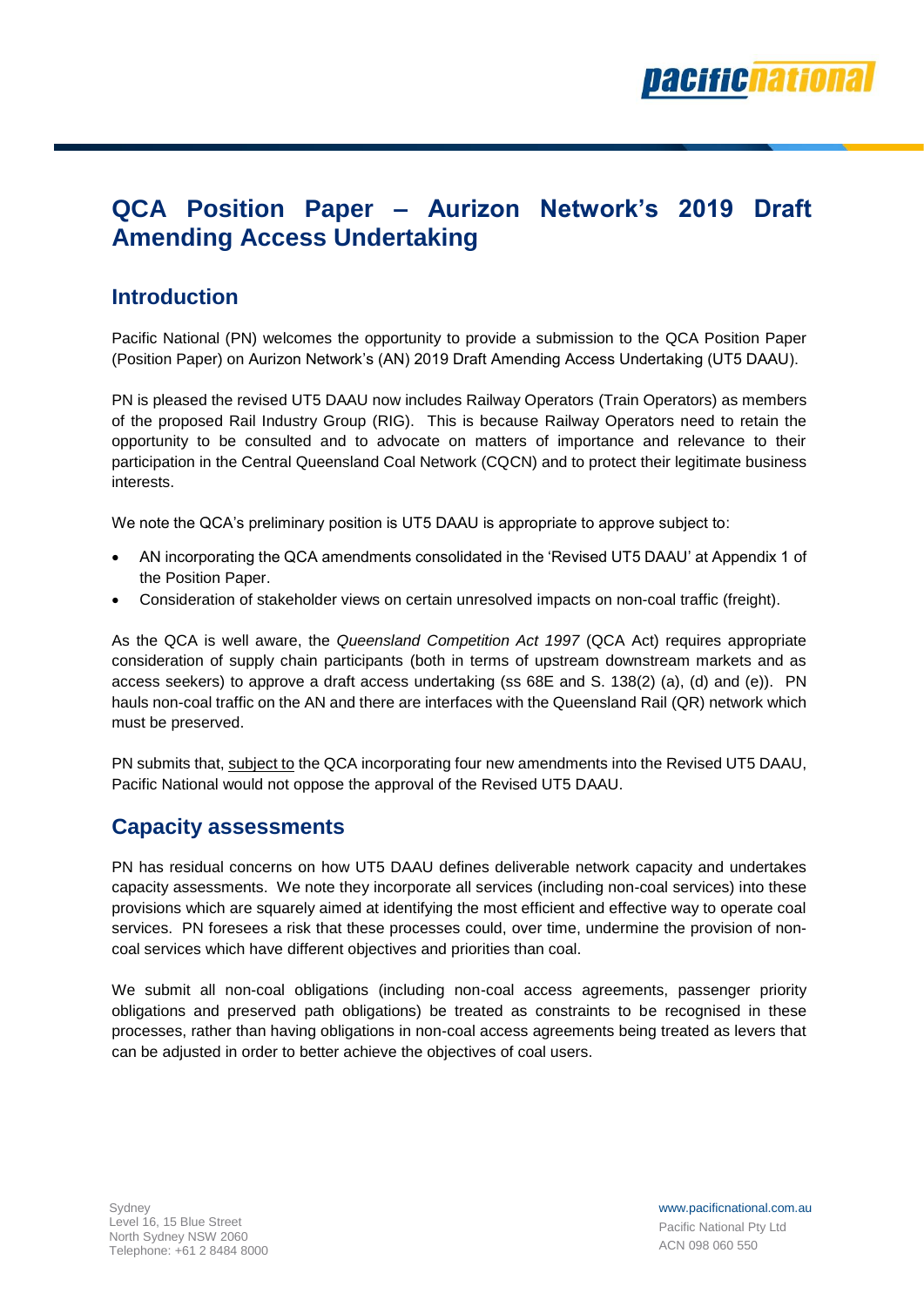

# **QCA Position Paper – Aurizon Network's 2019 Draft Amending Access Undertaking**

#### **Introduction**

Pacific National (PN) welcomes the opportunity to provide a submission to the QCA Position Paper (Position Paper) on Aurizon Network's (AN) 2019 Draft Amending Access Undertaking (UT5 DAAU).

PN is pleased the revised UT5 DAAU now includes Railway Operators (Train Operators) as members of the proposed Rail Industry Group (RIG). This is because Railway Operators need to retain the opportunity to be consulted and to advocate on matters of importance and relevance to their participation in the Central Queensland Coal Network (CQCN) and to protect their legitimate business interests.

We note the QCA's preliminary position is UT5 DAAU is appropriate to approve subject to:

- AN incorporating the QCA amendments consolidated in the 'Revised UT5 DAAU' at Appendix 1 of the Position Paper.
- Consideration of stakeholder views on certain unresolved impacts on non-coal traffic (freight).

As the QCA is well aware, the *Queensland Competition Act 1997* (QCA Act) requires appropriate consideration of supply chain participants (both in terms of upstream downstream markets and as access seekers) to approve a draft access undertaking (ss 68E and S. 138(2) (a), (d) and (e)). PN hauls non-coal traffic on the AN and there are interfaces with the Queensland Rail (QR) network which must be preserved.

PN submits that, subject to the QCA incorporating four new amendments into the Revised UT5 DAAU, Pacific National would not oppose the approval of the Revised UT5 DAAU.

### **Capacity assessments**

PN has residual concerns on how UT5 DAAU defines deliverable network capacity and undertakes capacity assessments. We note they incorporate all services (including non-coal services) into these provisions which are squarely aimed at identifying the most efficient and effective way to operate coal services. PN foresees a risk that these processes could, over time, undermine the provision of noncoal services which have different objectives and priorities than coal.

We submit all non-coal obligations (including non-coal access agreements, passenger priority obligations and preserved path obligations) be treated as constraints to be recognised in these processes, rather than having obligations in non-coal access agreements being treated as levers that can be adjusted in order to better achieve the objectives of coal users.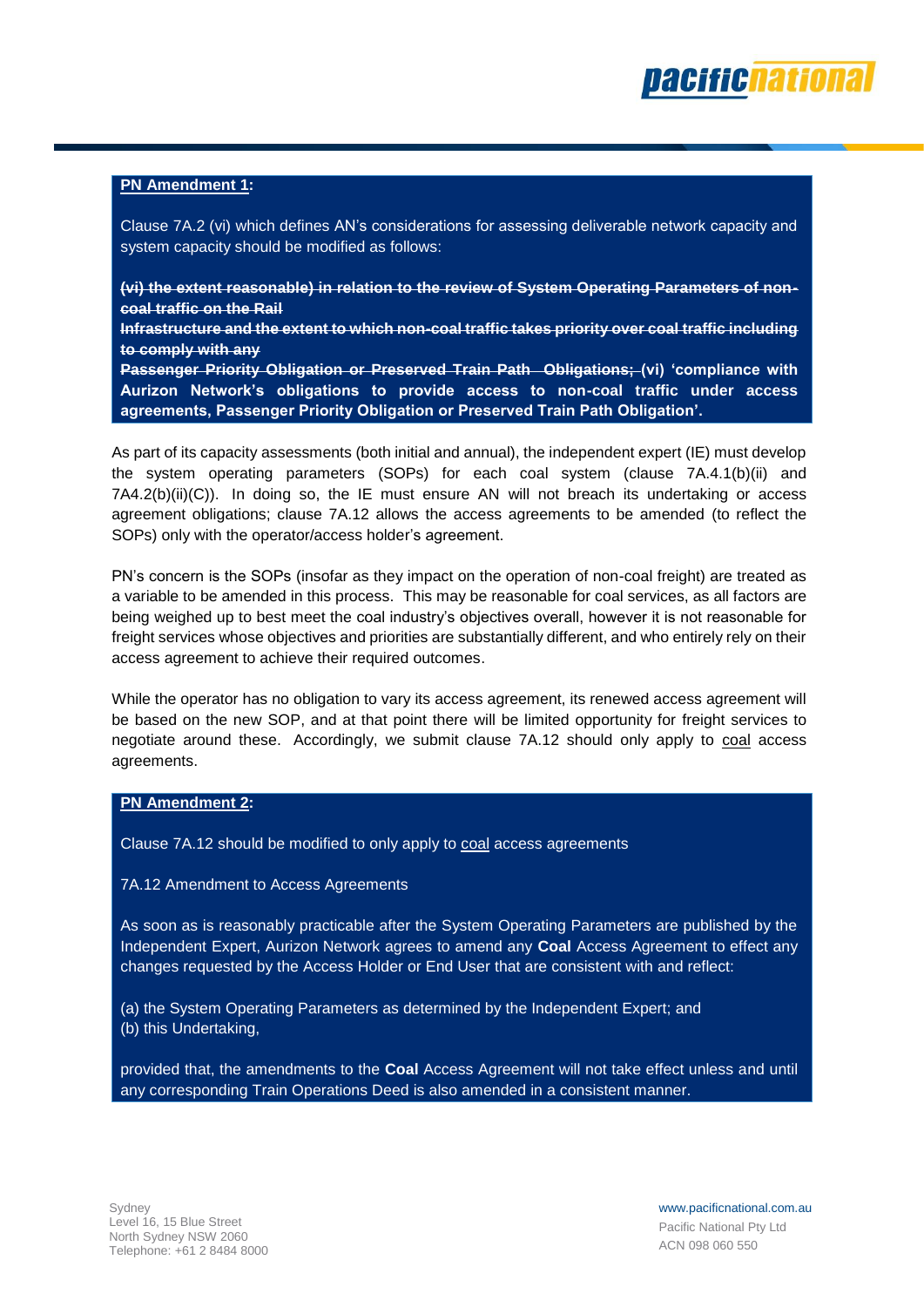

#### **PN Amendment 1:**

Clause 7A.2 (vi) which defines AN's considerations for assessing deliverable network capacity and system capacity should be modified as follows:

**(vi) the extent reasonable) in relation to the review of System Operating Parameters of noncoal traffic on the Rail**

**Infrastructure and the extent to which non-coal traffic takes priority over coal traffic including to comply with any**

**Passenger Priority Obligation or Preserved Train Path Obligations; (vi) 'compliance with Aurizon Network's obligations to provide access to non-coal traffic under access agreements, Passenger Priority Obligation or Preserved Train Path Obligation'.**

As part of its capacity assessments (both initial and annual), the independent expert (IE) must develop the system operating parameters (SOPs) for each coal system (clause 7A.4.1(b)(ii) and  $7A4.2(b)(ii)(C)$ ). In doing so, the IE must ensure AN will not breach its undertaking or access agreement obligations; clause 7A.12 allows the access agreements to be amended (to reflect the SOPs) only with the operator/access holder's agreement.

PN's concern is the SOPs (insofar as they impact on the operation of non-coal freight) are treated as a variable to be amended in this process. This may be reasonable for coal services, as all factors are being weighed up to best meet the coal industry's objectives overall, however it is not reasonable for freight services whose objectives and priorities are substantially different, and who entirely rely on their access agreement to achieve their required outcomes.

While the operator has no obligation to vary its access agreement, its renewed access agreement will be based on the new SOP, and at that point there will be limited opportunity for freight services to negotiate around these. Accordingly, we submit clause 7A.12 should only apply to coal access agreements.

#### **PN Amendment 2:**

Clause 7A.12 should be modified to only apply to coal access agreements

7A.12 Amendment to Access Agreements

As soon as is reasonably practicable after the System Operating Parameters are published by the Independent Expert, Aurizon Network agrees to amend any **Coal** Access Agreement to effect any changes requested by the Access Holder or End User that are consistent with and reflect:

(a) the System Operating Parameters as determined by the Independent Expert; and (b) this Undertaking,

provided that, the amendments to the **Coal** Access Agreement will not take effect unless and until any corresponding Train Operations Deed is also amended in a consistent manner.

www.pacificnational.com.au Pacific National Pty Ltd ACN 098 060 550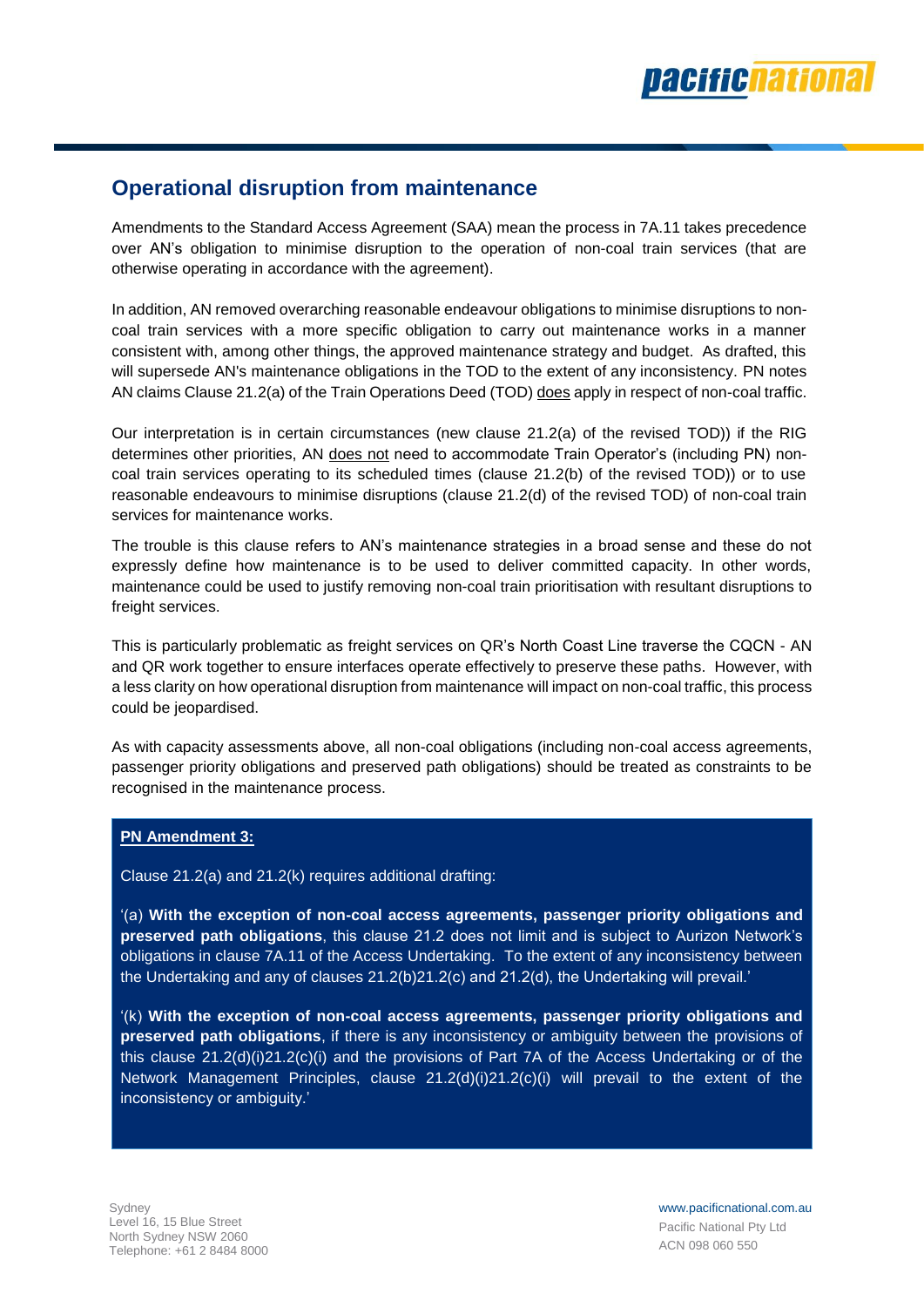### **Operational disruption from maintenance**

Amendments to the Standard Access Agreement (SAA) mean the process in 7A.11 takes precedence over AN's obligation to minimise disruption to the operation of non-coal train services (that are otherwise operating in accordance with the agreement).

In addition, AN removed overarching reasonable endeavour obligations to minimise disruptions to noncoal train services with a more specific obligation to carry out maintenance works in a manner consistent with, among other things, the approved maintenance strategy and budget. As drafted, this will supersede AN's maintenance obligations in the TOD to the extent of any inconsistency. PN notes AN claims Clause 21.2(a) of the Train Operations Deed (TOD) does apply in respect of non-coal traffic.

Our interpretation is in certain circumstances (new clause 21.2(a) of the revised TOD)) if the RIG determines other priorities, AN does not need to accommodate Train Operator's (including PN) noncoal train services operating to its scheduled times (clause 21.2(b) of the revised TOD)) or to use reasonable endeavours to minimise disruptions (clause 21.2(d) of the revised TOD) of non-coal train services for maintenance works.

The trouble is this clause refers to AN's maintenance strategies in a broad sense and these do not expressly define how maintenance is to be used to deliver committed capacity. In other words, maintenance could be used to justify removing non-coal train prioritisation with resultant disruptions to freight services.

This is particularly problematic as freight services on QR's North Coast Line traverse the CQCN - AN and QR work together to ensure interfaces operate effectively to preserve these paths. However, with a less clarity on how operational disruption from maintenance will impact on non-coal traffic, this process could be jeopardised.

As with capacity assessments above, all non-coal obligations (including non-coal access agreements, passenger priority obligations and preserved path obligations) should be treated as constraints to be recognised in the maintenance process.

#### **PN Amendment 3:**

Clause 21.2(a) and 21.2(k) requires additional drafting:

'(a) **With the exception of non-coal access agreements, passenger priority obligations and preserved path obligations**, this clause 21.2 does not limit and is subject to Aurizon Network's obligations in clause 7A.11 of the Access Undertaking. To the extent of any inconsistency between the Undertaking and any of clauses 21.2(b)21.2(c) and 21.2(d), the Undertaking will prevail.'

'(k) **With the exception of non-coal access agreements, passenger priority obligations and preserved path obligations**, if there is any inconsistency or ambiguity between the provisions of this clause 21.2(d)(i)21.2(c)(i) and the provisions of Part 7A of the Access Undertaking or of the Network Management Principles, clause 21.2(d)(i)21.2(c)(i) will prevail to the extent of the inconsistency or ambiguity.'

www.pacificnational.com.au Pacific National Pty Ltd ACN 098 060 550